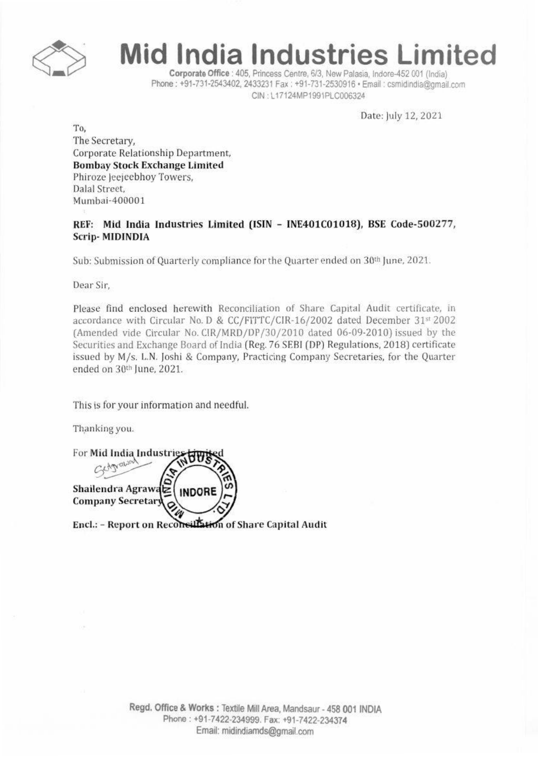

## **Mid India Industries Limited**

Corporate Office : 405, Princess Centre, 6/3, New Palasia, Indore-452 001 (India) Phone: +91-731-2543402, 2433231 Fax: +91-731-2530916 · Email: csmidindia@gmail.com CIN: L17124MP1991PLC006324

Date: July 12, 2021

To, The Secretary, Corporate Relationship Department, **Bombay Stock Exchange Limited** Phiroze Jeejeebhoy Towers, Dalal Street. Mumbai-400001

REF: Mid India Industries Limited (ISIN - INE401C01018), BSE Code-500277, **Scrip-MIDINDIA** 

Sub: Submission of Quarterly compliance for the Quarter ended on 30th June, 2021.

Dear Sir.

Please find enclosed herewith Reconciliation of Share Capital Audit certificate, in accordance with Circular No. D & CC/FITTC/CIR-16/2002 dated December 31st 2002 (Amended vide Circular No. CIR/MRD/DP/30/2010 dated 06-09-2010) issued by the Securities and Exchange Board of India (Reg. 76 SEBI (DP) Regulations, 2018) certificate issued by M/s. L.N. Joshi & Company, Practicing Company Secretaries, for the Quarter ended on 30th June, 2021.

This is for your information and needful.

Thanking you.

For Mid India Industrie Shailendra Agrawaz **INDORE Company Secretary** 

Encl.: - Report on Reconsillation of Share Capital Audit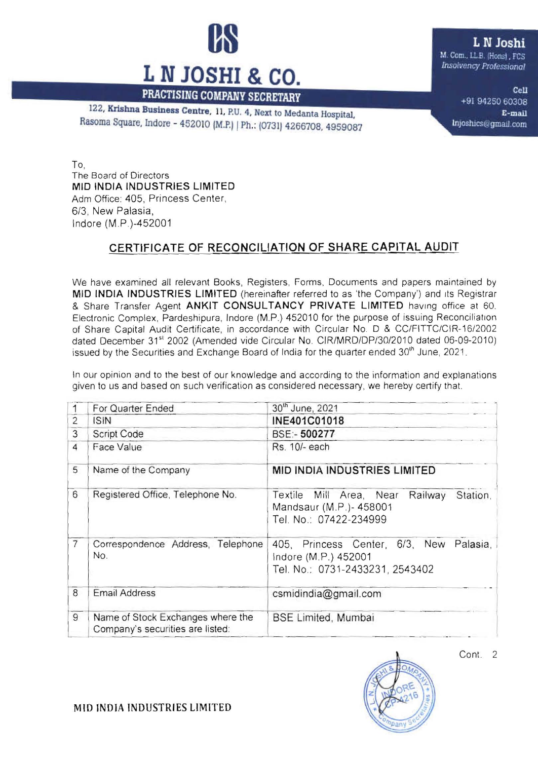

122, Krishna Business Centre, 11, P.U. 4, Next to Medanta Hospital. Rasoma Square, Indore - 452010 (M.P.) | Ph.: (0731) 4266708, 4959087 L N Joshi

M. Com., LL.B. (Honst), FCS <sup>I</sup> *lllSO/lIency Ptotessumoi*

> Cell +91 94250 60308 E-mail lnjoshics@gmail.com

To, The Board of Directors MID INDIA INDUSTRIES LIMITED Adm Office: 405, Princess Center, *6/3,* New Palasia, Indore (M.P.)-452001

## CERTIFICATE OF RECONCILIATION OF SHARE CAPITAL AUDIT

We have examined all relevant Books, Registers, Forms, Documents and papers maintained by MID INDIA INDUSTRIES LIMITED (hereinafter referred to as 'the Company') and Its Registrar & Share Transfer Agent ANKIT CONSULTANCY PRIVATE LIMITED having office at 60. Electronic Complex, Pardeshipura, Indore (M.P.) 452010 for the purpose of issuing Reconciliation of Share Capital Audit Certificate, in accordance with Circular No. D & *CC/FITTC/CIR-16/2002* dated December 31<sup>st</sup> 2002 (Amended vide Circular No. CIR/MRD/DP/30/2010 dated 06-09-2010) issued by the Securities and Exchange Board of India for the quarter ended  $30<sup>th</sup>$  June, 2021.

In our opinion and to the best of our knowledge and according to the information and explanations

|                | For Quarter Ended                                                     | 30th June, 2021                                                                                       |
|----------------|-----------------------------------------------------------------------|-------------------------------------------------------------------------------------------------------|
| $\overline{2}$ | <b>ISIN</b>                                                           | INE401C01018                                                                                          |
| 3              | <b>Script Code</b>                                                    | BSE:- 500277                                                                                          |
| $\overline{4}$ | Face Value                                                            | Rs. 10/- each                                                                                         |
| 5              | Name of the Company                                                   | <b>MID INDIA INDUSTRIES LIMITED</b>                                                                   |
| 6              | Registered Office, Telephone No.                                      | Station,<br>Textile Mill Area, Near<br>Railway<br>Mandsaur (M.P.)- 458001<br>Tel. No.: 07422-234999   |
| $\overline{7}$ | Correspondence Address, Telephone<br>No.                              | 405, Princess Center, 6/3, New<br>Palasia,<br>Indore (M.P.) 452001<br>Tel. No.: 0731-2433231, 2543402 |
| 8              | <b>Email Address</b>                                                  | csmidindia@gmail.com                                                                                  |
| 9              | Name of Stock Exchanges where the<br>Company's securities are listed: | <b>BSE Limited, Mumbai</b>                                                                            |



Cant. 2

MID INDIA INDUSTRIES LIMITED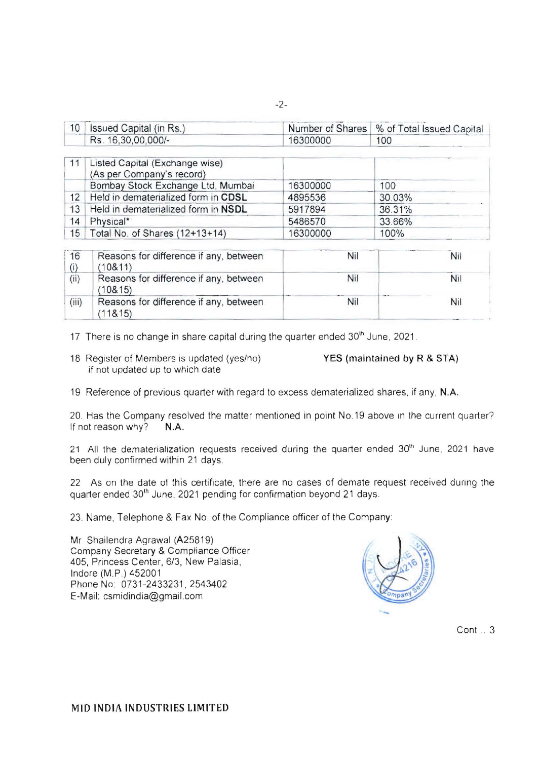| Issued Capital (in Rs.) |          | Number of Shares   % of Total Issued Capital |
|-------------------------|----------|----------------------------------------------|
| Rs. 16,30,00,000/-      | 16300000 | 100                                          |

|                 | Listed Capital (Exchange wise)<br>(As per Company's record) |          |        |  |  |
|-----------------|-------------------------------------------------------------|----------|--------|--|--|
|                 | Bombay Stock Exchange Ltd, Mumbai                           | 16300000 | 100    |  |  |
| 12 <sup>1</sup> | Held in dematerialized form in CDSL                         | 4895536  | 30.03% |  |  |
| 13              | Held in dematerialized form in NSDL                         | 5917894  | 36.31% |  |  |
| 14              | Physical*                                                   | 5486570  | 33.66% |  |  |
|                 | 15   Total No. of Shares (12+13+14)                         | 16300000 | 100%   |  |  |

| 16    | Reasons for difference if any, between<br>(10811)  | Nil | Nil |
|-------|----------------------------------------------------|-----|-----|
| (ii)  | Reasons for difference if any, between<br>(108.15) | Nil | Nıl |
| (iii) | Reasons for difference if any, between<br>(118.15) | Nil | Ni  |

17 There is no change in share capital during the quarter ended 30<sup>th</sup> June, 2021.

18 Register of Members is updated (yes/no) YES (maintained by R & STA) if not updated up to which date

19 Reference of previous quarter with regard to excess dematerialized shares, if any, N.A.

20. Has the Company resolved the matter mentioned in point No.19 above in the current quarter? If not reason why? N.A.

21 All the dematerialization requests received during the quarter ended 30<sup>th</sup> June, 2021 have been duly confirmed within 21 days.

22 As on the date of this certificate, there are no cases of demate request received during the quarter ended 30<sup>th</sup> June, 2021 pending for confirmation beyond 21 days.

23. Name, Telephone & Fax No. of the Compliance officer of the Company:

Mr Shailendra Agrawal (A25819) Company Secretary & Compliance Officer 405, Princess Center, 6/3, New Palasia, Indore (M.P.) 452001 Phone No: 0731-2433231, 2543402 E-Mail: [csmidindia@gmail.com](mailto:csmidindia@gmail.com)



Cont .. 3